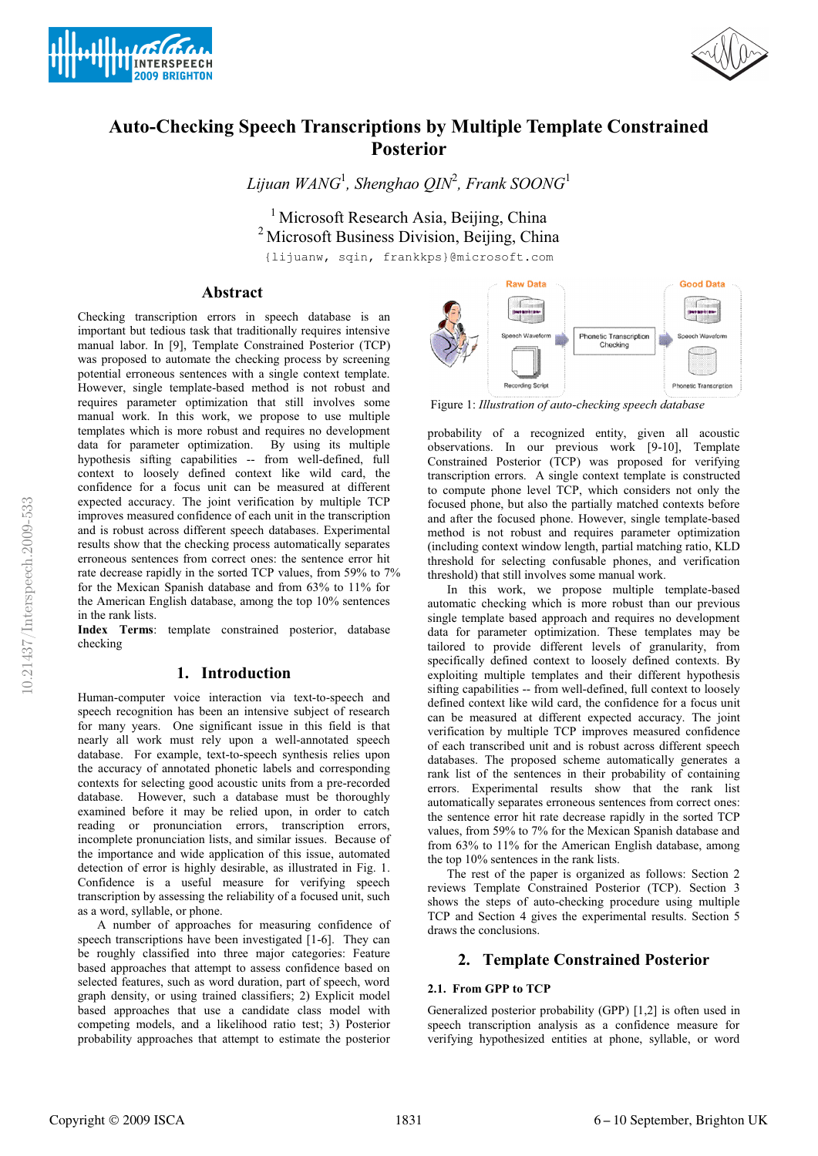



# **Auto-Checking Speech Transcriptions by Multiple Template Constrained Posterior**

*Lijuan WANG*<sup>1</sup> *, Shenghao QIN*<sup>2</sup> *, Frank SOONG*<sup>1</sup>

<sup>1</sup> Microsoft Research Asia, Beijing, China <sup>2</sup> Microsoft Business Division, Beijing, China {lijuanw, sqin, frankkps}@microsoft.com

## **Abstract**

Checking transcription errors in speech database is an important but tedious task that traditionally requires intensive manual labor. In [9], Template Constrained Posterior (TCP) was proposed to automate the checking process by screening potential erroneous sentences with a single context template. However, single template-based method is not robust and requires parameter optimization that still involves some manual work. In this work, we propose to use multiple templates which is more robust and requires no development data for parameter optimization. By using its multiple hypothesis sifting capabilities -- from well-defined, full context to loosely defined context like wild card, the confidence for a focus unit can be measured at different expected accuracy. The joint verification by multiple TCP improves measured confidence of each unit in the transcription and is robust across different speech databases. Experimental results show that the checking process automatically separates erroneous sentences from correct ones: the sentence error hit rate decrease rapidly in the sorted TCP values, from 59% to 7% for the Mexican Spanish database and from 63% to 11% for the American English database, among the top 10% sentences in the rank lists.

**Index Terms**: template constrained posterior, database checking

# **1. Introduction**

Human-computer voice interaction via text-to-speech and speech recognition has been an intensive subject of research for many years. One significant issue in this field is that nearly all work must rely upon a well-annotated speech database. For example, text-to-speech synthesis relies upon the accuracy of annotated phonetic labels and corresponding contexts for selecting good acoustic units from a pre-recorded database. However, such a database must be thoroughly examined before it may be relied upon, in order to catch reading or pronunciation errors, transcription errors, incomplete pronunciation lists, and similar issues. Because of the importance and wide application of this issue, automated detection of error is highly desirable, as illustrated in Fig. 1. Confidence is a useful measure for verifying speech transcription by assessing the reliability of a focused unit, such as a word, syllable, or phone.

A number of approaches for measuring confidence of speech transcriptions have been investigated [1-6]. They can be roughly classified into three major categories: Feature based approaches that attempt to assess confidence based on selected features, such as word duration, part of speech, word graph density, or using trained classifiers; 2) Explicit model based approaches that use a candidate class model with competing models, and a likelihood ratio test; 3) Posterior probability approaches that attempt to estimate the posterior



Figure 1: *Illustration of auto-checking speech database* 

probability of a recognized entity, given all acoustic observations. In our previous work [9-10], Template Constrained Posterior (TCP) was proposed for verifying transcription errors. A single context template is constructed to compute phone level TCP, which considers not only the focused phone, but also the partially matched contexts before and after the focused phone. However, single template-based method is not robust and requires parameter optimization (including context window length, partial matching ratio, KLD threshold for selecting confusable phones, and verification threshold) that still involves some manual work.

In this work, we propose multiple template-based automatic checking which is more robust than our previous single template based approach and requires no development data for parameter optimization. These templates may be tailored to provide different levels of granularity, from specifically defined context to loosely defined contexts. By exploiting multiple templates and their different hypothesis sifting capabilities -- from well-defined, full context to loosely defined context like wild card, the confidence for a focus unit can be measured at different expected accuracy. The joint verification by multiple TCP improves measured confidence of each transcribed unit and is robust across different speech databases. The proposed scheme automatically generates a rank list of the sentences in their probability of containing errors. Experimental results show that the rank list automatically separates erroneous sentences from correct ones: the sentence error hit rate decrease rapidly in the sorted TCP values, from 59% to 7% for the Mexican Spanish database and from 63% to 11% for the American English database, among the top 10% sentences in the rank lists.

The rest of the paper is organized as follows: Section 2 reviews Template Constrained Posterior (TCP). Section 3 shows the steps of auto-checking procedure using multiple TCP and Section 4 gives the experimental results. Section 5 draws the conclusions.

# **2. Template Constrained Posterior**

### **2.1. From GPP to TCP**

Generalized posterior probability (GPP) [1,2] is often used in speech transcription analysis as a confidence measure for verifying hypothesized entities at phone, syllable, or word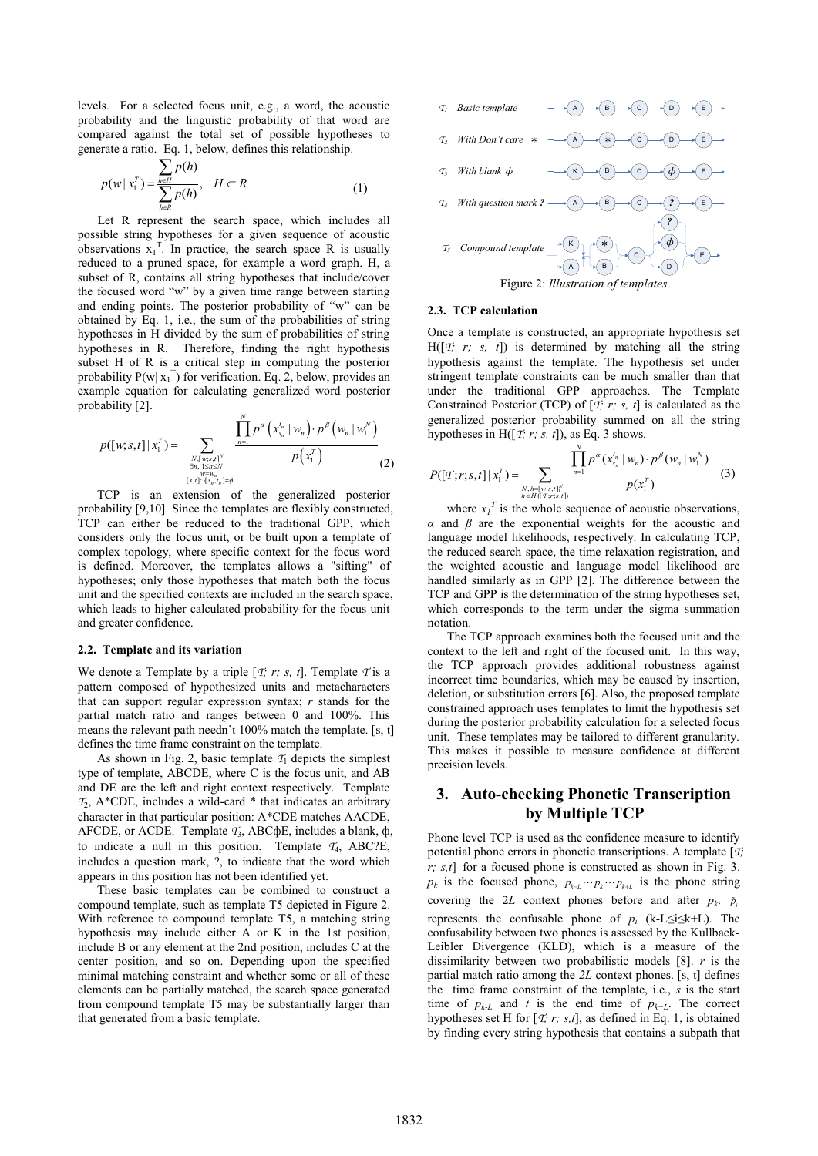levels. For a selected focus unit, e.g., a word, the acoustic probability and the linguistic probability of that word are compared against the total set of possible hypotheses to generate a ratio. Eq. 1, below, defines this relationship.

$$
p(w | x_1^T) = \frac{\sum_{h \in H} p(h)}{\sum_{h \in R} p(h)}, \quad H \subset R
$$
 (1)

Let R represent the search space, which includes all possible string hypotheses for a given sequence of acoustic observations  $x_1^T$ . In practice, the search space R is usually reduced to a pruned space, for example a word graph. H, a subset of R, contains all string hypotheses that include/cover the focused word "w" by a given time range between starting and ending points. The posterior probability of "w" can be obtained by Eq. 1, i.e., the sum of the probabilities of string hypotheses in H divided by the sum of probabilities of string hypotheses in R. Therefore, finding the right hypothesis subset H of R is a critical step in computing the posterior probability  $P(w | x_1^T)$  for verification. Eq. 2, below, provides an example equation for calculating generalized word posterior probability [2].

$$
p([w;s,t] | x_1^T) = \sum_{\substack{N, \{w;s,t\}^N \\ \exists n, \, 1 \le n \le N \\ (s,t) \in \mathbb{N}_n, \, t_n \neq \phi}} \frac{\prod_{n=1}^N p^\alpha \left( x_{s_n}^{t_n} | w_n \right) \cdot p^\beta \left( w_n | w_1^N \right)}{p(x_1^T)} \tag{2}
$$

TCP is an extension of the generalized posterior probability [9,10]. Since the templates are flexibly constructed, TCP can either be reduced to the traditional GPP, which considers only the focus unit, or be built upon a template of complex topology, where specific context for the focus word is defined. Moreover, the templates allows a "sifting" of hypotheses; only those hypotheses that match both the focus unit and the specified contexts are included in the search space, which leads to higher calculated probability for the focus unit and greater confidence.

#### **2.2. Template and its variation**

We denote a Template by a triple  $[\tau; r; s, t]$ . Template  $\tau$  is a pattern composed of hypothesized units and metacharacters that can support regular expression syntax; *r* stands for the partial match ratio and ranges between 0 and 100%. This means the relevant path needn't 100% match the template. [s, t] defines the time frame constraint on the template.

As shown in Fig. 2, basic template  $T_1$  depicts the simplest type of template, ABCDE, where C is the focus unit, and AB and DE are the left and right context respectively. Template *T*2, A\*CDE, includes a wild-card \* that indicates an arbitrary character in that particular position: A\*CDE matches AACDE, AFCDE, or ACDE. Template *T*3, ABCфE, includes a blank, ф, to indicate a null in this position. Template *T*4, ABC?E, includes a question mark, ?, to indicate that the word which appears in this position has not been identified yet.

These basic templates can be combined to construct a compound template, such as template T5 depicted in Figure 2. With reference to compound template T5, a matching string hypothesis may include either A or K in the 1st position, include B or any element at the 2nd position, includes C at the center position, and so on. Depending upon the specified minimal matching constraint and whether some or all of these elements can be partially matched, the search space generated from compound template T5 may be substantially larger than that generated from a basic template.



#### **2.3. TCP calculation**

Once a template is constructed, an appropriate hypothesis set  $H([T; r; s, t])$  is determined by matching all the string hypothesis against the template. The hypothesis set under stringent template constraints can be much smaller than that under the traditional GPP approaches. The Template Constrained Posterior (TCP) of [*T; r; s, t*] is calculated as the generalized posterior probability summed on all the string hypotheses in H( $[T; r; s, t]$ ), as Eq. 3 shows.

$$
P([T;r;s,t]|x_1^T) = \sum_{\substack{N,h=[w,s,t]_1^N\\h\in H([T;r;s,t])}} \frac{\prod_{n=1}^N p^{\alpha}(x_{s_n}^{t_n} | w_n) \cdot p^{\beta}(w_n | w_1^N)}{p(x_1^T)}
$$
(3)

where  $x_I^T$  is the whole sequence of acoustic observations, *α* and *β* are the exponential weights for the acoustic and language model likelihoods, respectively. In calculating TCP, the reduced search space, the time relaxation registration, and the weighted acoustic and language model likelihood are handled similarly as in GPP [2]. The difference between the TCP and GPP is the determination of the string hypotheses set, which corresponds to the term under the sigma summation notation.

The TCP approach examines both the focused unit and the context to the left and right of the focused unit. In this way, the TCP approach provides additional robustness against incorrect time boundaries, which may be caused by insertion, deletion, or substitution errors [6]. Also, the proposed template constrained approach uses templates to limit the hypothesis set during the posterior probability calculation for a selected focus unit. These templates may be tailored to different granularity. This makes it possible to measure confidence at different precision levels.

# **3. Auto-checking Phonetic Transcription by Multiple TCP**

Phone level TCP is used as the confidence measure to identify potential phone errors in phonetic transcriptions. A template [*T; r; s,t*] for a focused phone is constructed as shown in Fig. 3.  $p_k$  is the focused phone,  $p_{k-L} \cdots p_k \cdots p_{k+L}$  is the phone string covering the 2*L* context phones before and after  $p_k$ .  $\tilde{p}_i$ represents the confusable phone of  $p_i$  (k-L≤i≤k+L). The confusability between two phones is assessed by the Kullback-Leibler Divergence (KLD), which is a measure of the dissimilarity between two probabilistic models [8]. *r* is the partial match ratio among the *2L* context phones. [s, t] defines the time frame constraint of the template, i.e., *s* is the start time of  $p_{k-L}$  and *t* is the end time of  $p_{k+L}$ . The correct hypotheses set H for [*T; r; s,t*], as defined in Eq. 1, is obtained by finding every string hypothesis that contains a subpath that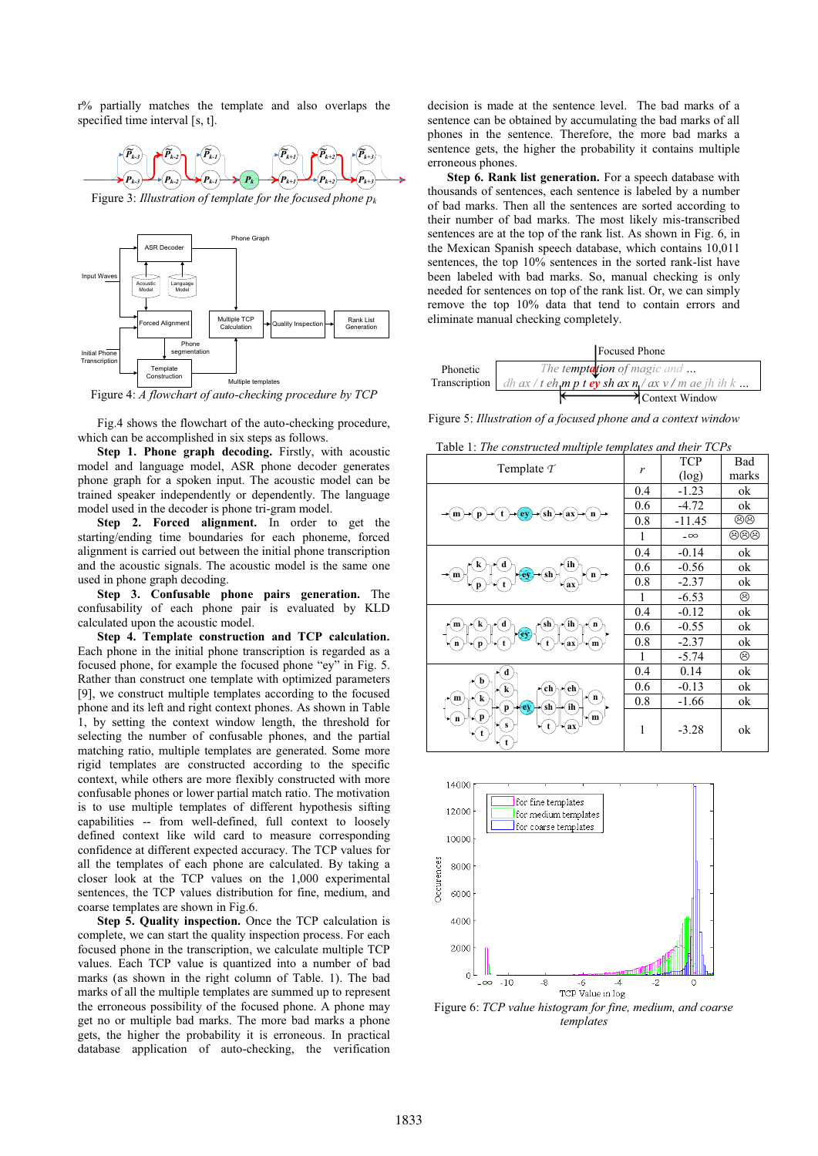r% partially matches the template and also overlaps the specified time interval [s, t].



Figure 3: *Illustration of template for the focused phone pk*



Figure 4: *A flowchart of auto-checking procedure by TCP* 

Fig.4 shows the flowchart of the auto-checking procedure, which can be accomplished in six steps as follows.

**Step 1. Phone graph decoding.** Firstly, with acoustic model and language model, ASR phone decoder generates phone graph for a spoken input. The acoustic model can be trained speaker independently or dependently. The language model used in the decoder is phone tri-gram model.

**Step 2. Forced alignment.** In order to get the starting/ending time boundaries for each phoneme, forced alignment is carried out between the initial phone transcription and the acoustic signals. The acoustic model is the same one used in phone graph decoding.

**Step 3. Confusable phone pairs generation.** The confusability of each phone pair is evaluated by KLD calculated upon the acoustic model.

**Step 4. Template construction and TCP calculation.**  Each phone in the initial phone transcription is regarded as a focused phone, for example the focused phone "ey" in Fig. 5. Rather than construct one template with optimized parameters [9], we construct multiple templates according to the focused phone and its left and right context phones. As shown in Table 1, by setting the context window length, the threshold for selecting the number of confusable phones, and the partial matching ratio, multiple templates are generated. Some more rigid templates are constructed according to the specific context, while others are more flexibly constructed with more confusable phones or lower partial match ratio. The motivation is to use multiple templates of different hypothesis sifting capabilities -- from well-defined, full context to loosely defined context like wild card to measure corresponding confidence at different expected accuracy. The TCP values for all the templates of each phone are calculated. By taking a closer look at the TCP values on the 1,000 experimental sentences, the TCP values distribution for fine, medium, and coarse templates are shown in Fig.6.

**Step 5. Quality inspection.** Once the TCP calculation is complete, we can start the quality inspection process. For each focused phone in the transcription, we calculate multiple TCP values. Each TCP value is quantized into a number of bad marks (as shown in the right column of Table. 1). The bad marks of all the multiple templates are summed up to represent the erroneous possibility of the focused phone. A phone may get no or multiple bad marks. The more bad marks a phone gets, the higher the probability it is erroneous. In practical database application of auto-checking, the verification decision is made at the sentence level. The bad marks of a sentence can be obtained by accumulating the bad marks of all phones in the sentence. Therefore, the more bad marks a sentence gets, the higher the probability it contains multiple erroneous phones.

**Step 6. Rank list generation.** For a speech database with thousands of sentences, each sentence is labeled by a number of bad marks. Then all the sentences are sorted according to their number of bad marks. The most likely mis-transcribed sentences are at the top of the rank list. As shown in Fig. 6, in the Mexican Spanish speech database, which contains 10,011 sentences, the top 10% sentences in the sorted rank-list have been labeled with bad marks. So, manual checking is only needed for sentences on top of the rank list. Or, we can simply remove the top 10% data that tend to contain errors and eliminate manual checking completely.

|          | Focused Phone                                                                                         |  |
|----------|-------------------------------------------------------------------------------------------------------|--|
| Phonetic | The temptation of magic and                                                                           |  |
|          | <b>Transcription</b> $\int dh \, dx / t \, dh$ <b>m</b> p t <b>ey</b> sh ax $n / ax$ v / m ae jh ih k |  |
|          | ₹ Context Window                                                                                      |  |

Figure 5: *Illustration of a focused phone and a context window*

| raore 1, <i>The conon acted manpic tem</i>                                                                    |     | .          |       |
|---------------------------------------------------------------------------------------------------------------|-----|------------|-------|
| Template $\tau$                                                                                               | r   | <b>TCP</b> | Bad   |
|                                                                                                               |     | (log)      | marks |
|                                                                                                               | 0.4 | $-1.23$    | ok    |
| sh<br>ax<br>$\mathbf{n}$<br>m                                                                                 | 0.6 | $-4.72$    | ok    |
|                                                                                                               | 0.8 | $-11.45$   | මම    |
|                                                                                                               | 1   | $-\infty$  | මමම   |
|                                                                                                               | 0.4 | $-0.14$    | ok    |
| ih<br>$\sin$<br>n<br>m<br>ax                                                                                  | 0.6 | $-0.56$    | ok    |
|                                                                                                               | 0.8 | $-2.37$    | ok    |
|                                                                                                               | 1   | $-6.53$    | ☺     |
| `ih<br>sh<br>k<br>n<br>m<br>ey<br>$\mathbf{m}$<br>ax                                                          | 0.4 | $-0.12$    | ok    |
|                                                                                                               | 0.6 | $-0.55$    | ok    |
|                                                                                                               | 0.8 | $-2.37$    | ok    |
|                                                                                                               | 1   | $-5.74$    | ☺     |
| d                                                                                                             | 0.4 | 0.14       | ok    |
| b<br>e <sub>h</sub><br>ch<br>k                                                                                | 0.6 | $-0.13$    | ok    |
| $\mathbf n$<br>k<br>m<br>(ih)<br>$\left($ sh $\right)$<br>ey<br>p<br>p<br>(m)<br>$\mathbf n$<br>S<br>(ax<br>t | 0.8 | $-1.66$    | ok    |
|                                                                                                               | 1   | $-3.28$    | ok    |



Figure 6: *TCP value histogram for fine, medium, and coarse templates* 

Table 1: *The constructed multiple templates and their TCPs*